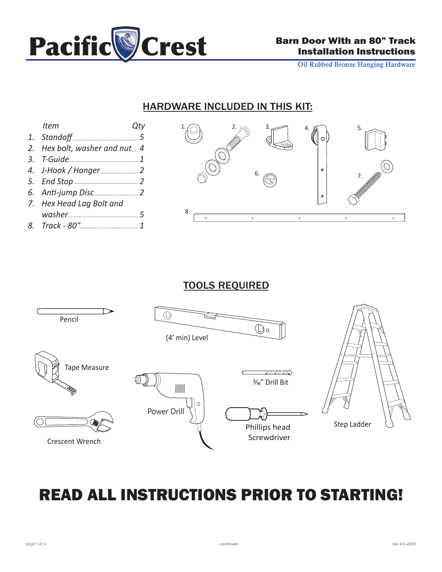

Oil Rubbed Bronze Hanging Hardware

### HARDWARE INCLUDED IN THIS KIT:

| <i>Item</i>                   | Qty |
|-------------------------------|-----|
|                               |     |
| 2. Hex bolt, washer and nut 4 |     |
|                               |     |
|                               |     |
|                               |     |
|                               |     |
| 7. Hex Head Lag Bolt and      |     |
|                               |     |

*1 8. Track - 80"*



## TOOLS REQUIRED



# READ ALL INSTRUCTIONS PRIOR TO STARTING!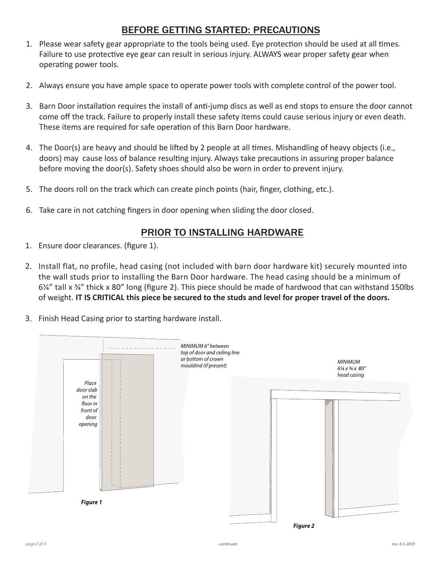### BEFORE GETTING STARTED: PRECAUTIONS

- Please wear safety gear appropriate to the tools being used. Eye protection should be used at all times. 1. Failure to use protective eye gear can result in serious injury. ALWAYS wear proper safety gear when operating power tools.
- 2. Always ensure you have ample space to operate power tools with complete control of the power tool.
- 3. Barn Door installation requires the install of anti-jump discs as well as end stops to ensure the door cannot come off the track. Failure to properly install these safety items could cause serious injury or even death. These items are required for safe operation of this Barn Door hardware.
- The Door(s) are heavy and should be lifted by 2 people at all times. Mishandling of heavy objects (i.e., 4. doors) may cause loss of balance resulting injury. Always take precautions in assuring proper balance before moving the door(s). Safety shoes should also be worn in order to prevent injury.
- 5. The doors roll on the track which can create pinch points (hair, finger, clothing, etc.).
- Take care in not catching fingers in door opening when sliding the door closed. 6.

#### PRIOR TO INSTALLING HARDWARE

- 1. Ensure door clearances. (figure 1).
- 2. Install flat, no profile, head casing (not included with barn door hardware kit) securely mounted into the wall studs prior to installing the Barn Door hardware. The head casing should be a minimum of  $6\frac{1}{4}$ " tall x  $\frac{3}{4}$ " thick x 80" long (figure 2). This piece should be made of hardwood that can withstand 150lbs of weight. **IT IS CRITICAL this piece be secured to the studs and level for proper travel of the doors.**
- 3. Finish Head Casing prior to starting hardware install.

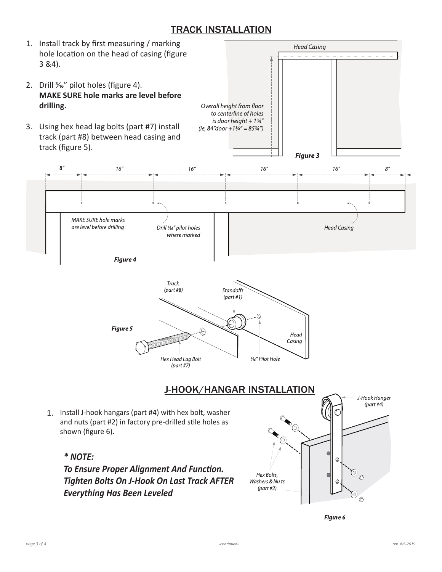#### TRACK INSTALLATION



Figure 6